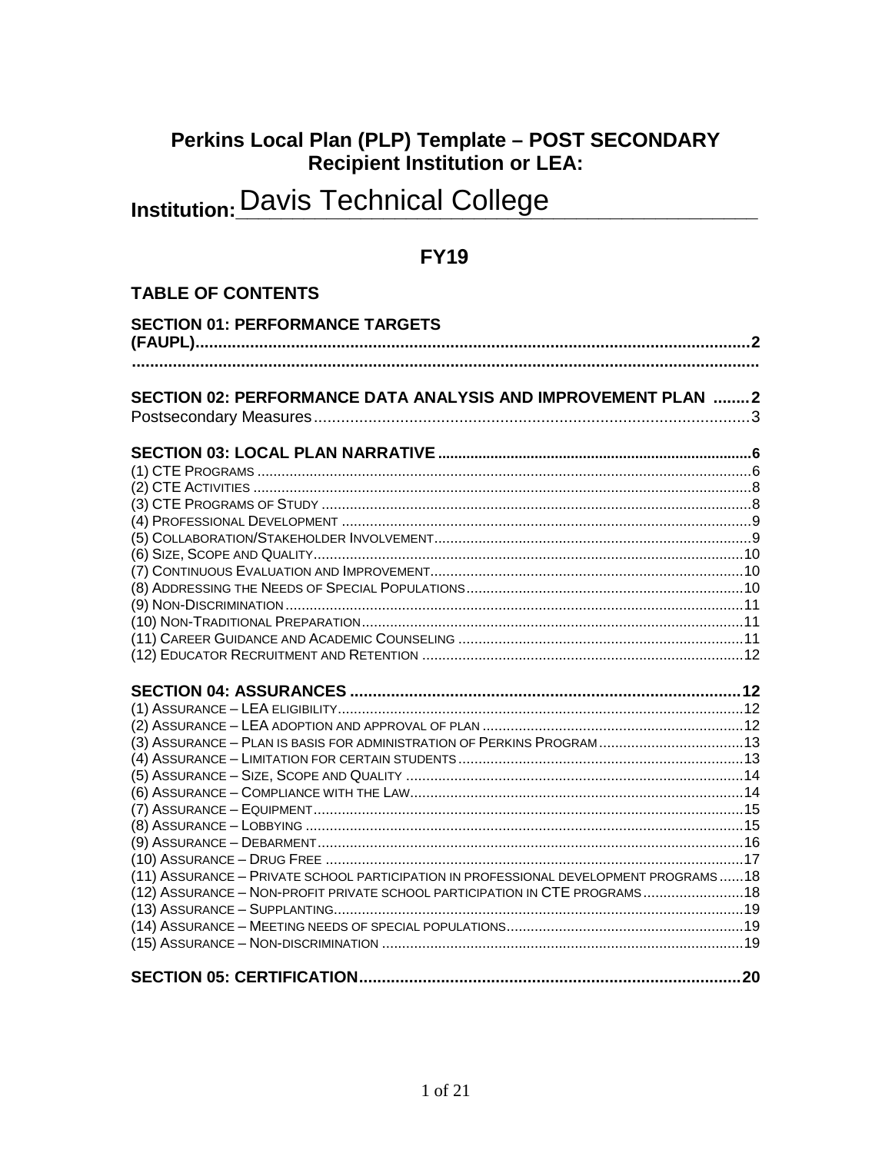# Perkins Local Plan (PLP) Template - POST SECONDARY<br>Recipient Institution or LEA:

# **Institution: Davis Technical College**

## **FY19**

## **TABLE OF CONTENTS**

| <b>SECTION 01: PERFORMANCE TARGETS</b>                                                                                                                              |  |
|---------------------------------------------------------------------------------------------------------------------------------------------------------------------|--|
|                                                                                                                                                                     |  |
|                                                                                                                                                                     |  |
|                                                                                                                                                                     |  |
| SECTION 02: PERFORMANCE DATA ANALYSIS AND IMPROVEMENT PLAN 2                                                                                                        |  |
|                                                                                                                                                                     |  |
|                                                                                                                                                                     |  |
|                                                                                                                                                                     |  |
|                                                                                                                                                                     |  |
|                                                                                                                                                                     |  |
|                                                                                                                                                                     |  |
|                                                                                                                                                                     |  |
|                                                                                                                                                                     |  |
|                                                                                                                                                                     |  |
|                                                                                                                                                                     |  |
|                                                                                                                                                                     |  |
|                                                                                                                                                                     |  |
|                                                                                                                                                                     |  |
|                                                                                                                                                                     |  |
|                                                                                                                                                                     |  |
|                                                                                                                                                                     |  |
|                                                                                                                                                                     |  |
| (3) ASSURANCE - PLAN IS BASIS FOR ADMINISTRATION OF PERKINS PROGRAM 13                                                                                              |  |
|                                                                                                                                                                     |  |
|                                                                                                                                                                     |  |
|                                                                                                                                                                     |  |
|                                                                                                                                                                     |  |
|                                                                                                                                                                     |  |
|                                                                                                                                                                     |  |
|                                                                                                                                                                     |  |
| (11) ASSURANCE - PRIVATE SCHOOL PARTICIPATION IN PROFESSIONAL DEVELOPMENT PROGRAMS18<br>(12) ASSURANCE - NON-PROFIT PRIVATE SCHOOL PARTICIPATION IN CTE PROGRAMS 18 |  |
|                                                                                                                                                                     |  |
|                                                                                                                                                                     |  |
|                                                                                                                                                                     |  |
|                                                                                                                                                                     |  |
|                                                                                                                                                                     |  |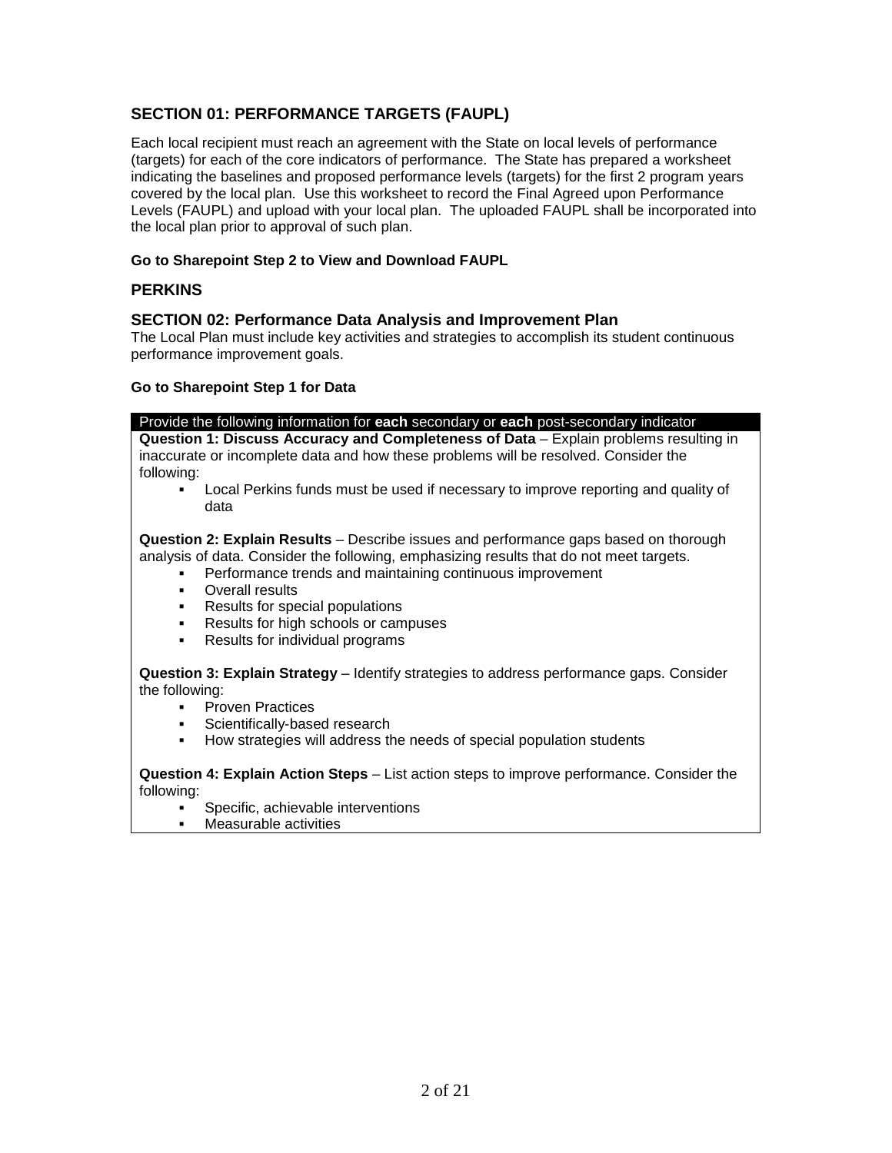#### **SECTION 01: PERFORMANCE TARGETS (FAUPL)**

Each local recipient must reach an agreement with the State on local levels of performance (targets) for each of the core indicators of performance. The State has prepared a worksheet indicating the baselines and proposed performance levels (targets) for the first 2 program years covered by the local plan. Use this worksheet to record the Final Agreed upon Performance Levels (FAUPL) and upload with your local plan. The uploaded FAUPL shall be incorporated into the local plan prior to approval of such plan.

#### **Go to Sharepoint Step 2 to View and Download FAUPL**

#### **PERKINS**

#### **SECTION 02: Performance Data Analysis and Improvement Plan**

The Local Plan must include key activities and strategies to accomplish its student continuous performance improvement goals.

#### **Go to Sharepoint Step 1 for Data**

| Provide the following information for <b>each</b> secondary or <b>each</b> post-secondary indicator |  |
|-----------------------------------------------------------------------------------------------------|--|
|-----------------------------------------------------------------------------------------------------|--|

**Question 1: Discuss Accuracy and Completeness of Data** – Explain problems resulting in inaccurate or incomplete data and how these problems will be resolved. Consider the following:

 Local Perkins funds must be used if necessary to improve reporting and quality of data

**Question 2: Explain Results** – Describe issues and performance gaps based on thorough analysis of data. Consider the following, emphasizing results that do not meet targets.

- Performance trends and maintaining continuous improvement
- Overall results
- Results for special populations
- Results for high schools or campuses
- Results for individual programs

**Question 3: Explain Strategy** – Identify strategies to address performance gaps. Consider the following:

- Proven Practices
- Scientifically-based research
- How strategies will address the needs of special population students

**Question 4: Explain Action Steps** – List action steps to improve performance. Consider the following:

- Specific, achievable interventions
- Measurable activities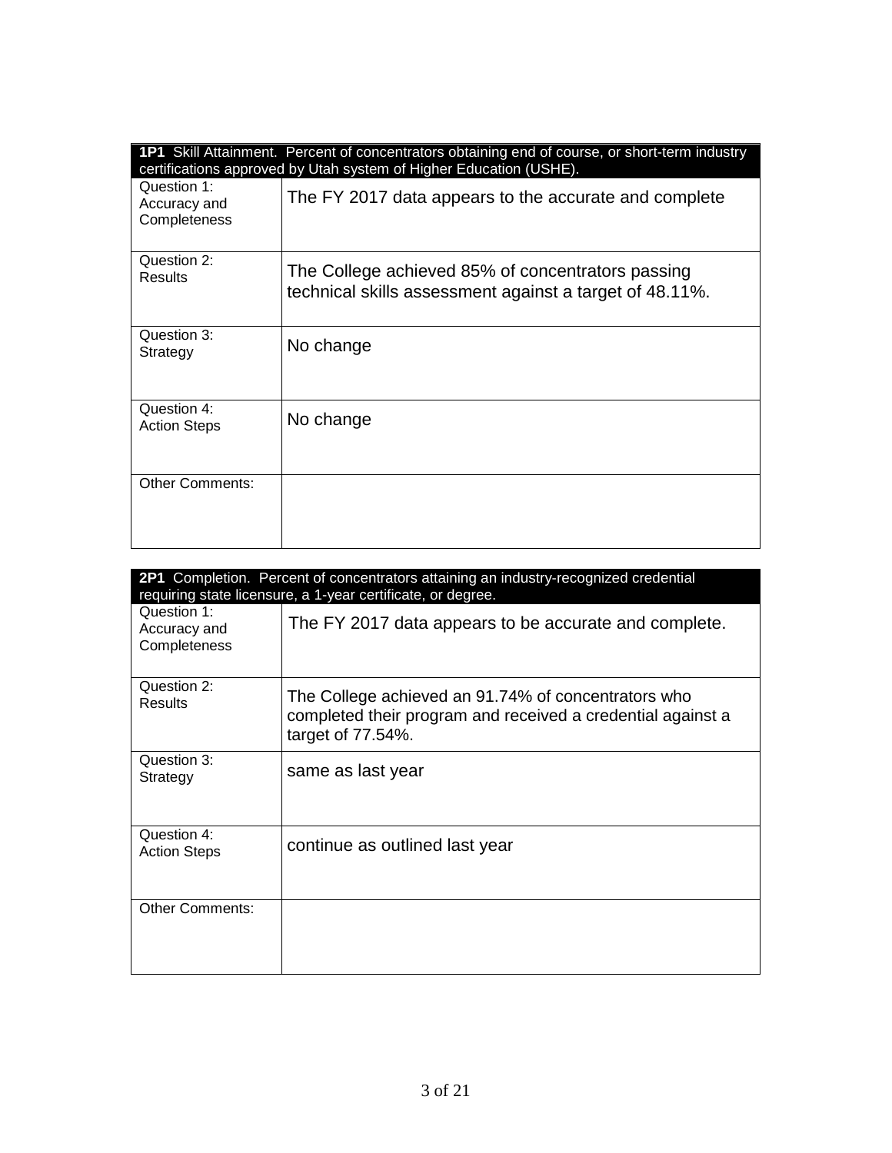|                                             | 1P1 Skill Attainment. Percent of concentrators obtaining end of course, or short-term industry<br>certifications approved by Utah system of Higher Education (USHE). |
|---------------------------------------------|----------------------------------------------------------------------------------------------------------------------------------------------------------------------|
| Question 1:<br>Accuracy and<br>Completeness | The FY 2017 data appears to the accurate and complete                                                                                                                |
| Question 2:<br>Results                      | The College achieved 85% of concentrators passing<br>technical skills assessment against a target of 48.11%.                                                         |
| Question 3:<br>Strategy                     | No change                                                                                                                                                            |
| Question 4:<br><b>Action Steps</b>          | No change                                                                                                                                                            |
| <b>Other Comments:</b>                      |                                                                                                                                                                      |

| <b>2P1</b> Completion. Percent of concentrators attaining an industry-recognized credential<br>requiring state licensure, a 1-year certificate, or degree. |                                                                                                                                         |
|------------------------------------------------------------------------------------------------------------------------------------------------------------|-----------------------------------------------------------------------------------------------------------------------------------------|
| Question 1:<br>Accuracy and<br>Completeness                                                                                                                | The FY 2017 data appears to be accurate and complete.                                                                                   |
| Question 2:<br>Results                                                                                                                                     | The College achieved an 91.74% of concentrators who<br>completed their program and received a credential against a<br>target of 77.54%. |
| Question 3:<br>Strategy                                                                                                                                    | same as last year                                                                                                                       |
| Question 4:<br><b>Action Steps</b>                                                                                                                         | continue as outlined last year                                                                                                          |
| <b>Other Comments:</b>                                                                                                                                     |                                                                                                                                         |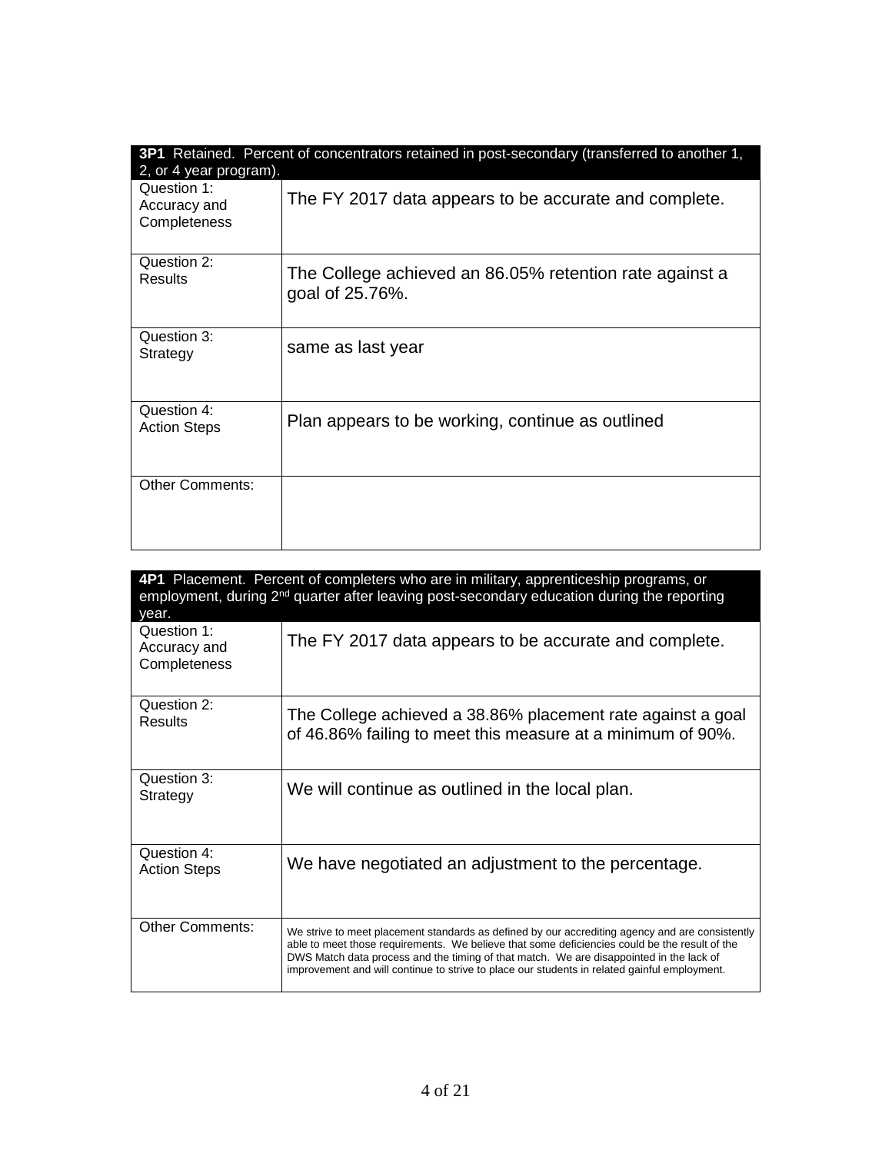| 2, or 4 year program).                      | 3P1 Retained. Percent of concentrators retained in post-secondary (transferred to another 1, |
|---------------------------------------------|----------------------------------------------------------------------------------------------|
| Question 1:<br>Accuracy and<br>Completeness | The FY 2017 data appears to be accurate and complete.                                        |
| Question 2:<br>Results                      | The College achieved an 86.05% retention rate against a<br>goal of 25.76%.                   |
| Question 3:<br>Strategy                     | same as last year                                                                            |
| Question 4:<br><b>Action Steps</b>          | Plan appears to be working, continue as outlined                                             |
| <b>Other Comments:</b>                      |                                                                                              |

| year.                                       | 4P1 Placement. Percent of completers who are in military, apprenticeship programs, or<br>employment, during $2^{nd}$ quarter after leaving post-secondary education during the reporting                                                                                                                                                                                                    |
|---------------------------------------------|---------------------------------------------------------------------------------------------------------------------------------------------------------------------------------------------------------------------------------------------------------------------------------------------------------------------------------------------------------------------------------------------|
| Question 1:<br>Accuracy and<br>Completeness | The FY 2017 data appears to be accurate and complete.                                                                                                                                                                                                                                                                                                                                       |
| Question 2:<br>Results                      | The College achieved a 38.86% placement rate against a goal<br>of 46.86% failing to meet this measure at a minimum of 90%.                                                                                                                                                                                                                                                                  |
| Question 3:<br>Strategy                     | We will continue as outlined in the local plan.                                                                                                                                                                                                                                                                                                                                             |
| Question 4:<br><b>Action Steps</b>          | We have negotiated an adjustment to the percentage.                                                                                                                                                                                                                                                                                                                                         |
| <b>Other Comments:</b>                      | We strive to meet placement standards as defined by our accrediting agency and are consistently<br>able to meet those requirements. We believe that some deficiencies could be the result of the<br>DWS Match data process and the timing of that match. We are disappointed in the lack of<br>improvement and will continue to strive to place our students in related gainful employment. |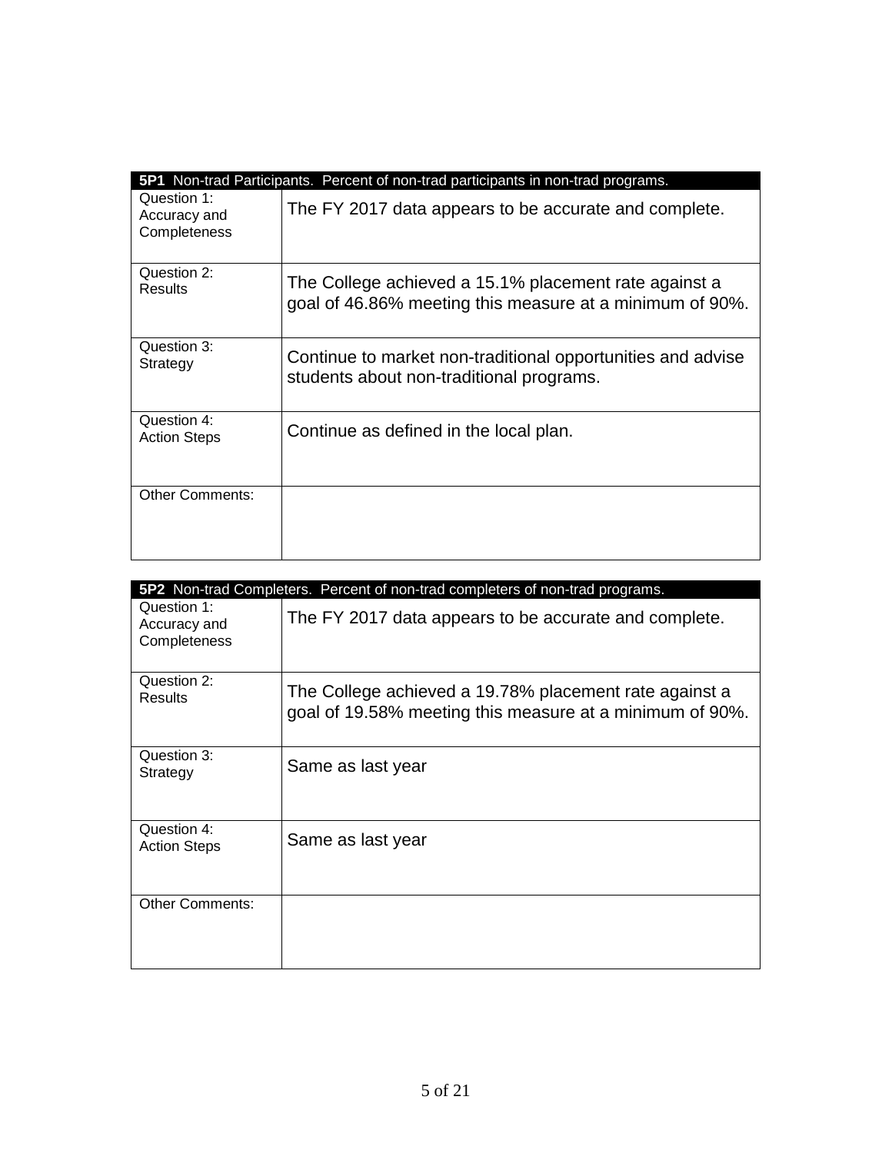|                             | 5P1 Non-trad Participants. Percent of non-trad participants in non-trad programs. |
|-----------------------------|-----------------------------------------------------------------------------------|
| Question 1:<br>Accuracy and | The FY 2017 data appears to be accurate and complete.                             |
| Completeness                |                                                                                   |
|                             |                                                                                   |
| Question 2:                 | The College achieved a 15.1% placement rate against a                             |
| Results                     | goal of 46.86% meeting this measure at a minimum of 90%.                          |
|                             |                                                                                   |
| Question 3:                 | Continue to market non-traditional opportunities and advise                       |
| Strategy                    | students about non-traditional programs.                                          |
|                             |                                                                                   |
| Question 4:                 | Continue as defined in the local plan.                                            |
| <b>Action Steps</b>         |                                                                                   |
|                             |                                                                                   |
| <b>Other Comments:</b>      |                                                                                   |
|                             |                                                                                   |
|                             |                                                                                   |

|                                             | 5P2 Non-trad Completers. Percent of non-trad completers of non-trad programs.                                      |
|---------------------------------------------|--------------------------------------------------------------------------------------------------------------------|
| Question 1:<br>Accuracy and<br>Completeness | The FY 2017 data appears to be accurate and complete.                                                              |
| Question 2:<br><b>Results</b>               | The College achieved a 19.78% placement rate against a<br>goal of 19.58% meeting this measure at a minimum of 90%. |
| Question 3:<br>Strategy                     | Same as last year                                                                                                  |
| Question 4:<br><b>Action Steps</b>          | Same as last year                                                                                                  |
| <b>Other Comments:</b>                      |                                                                                                                    |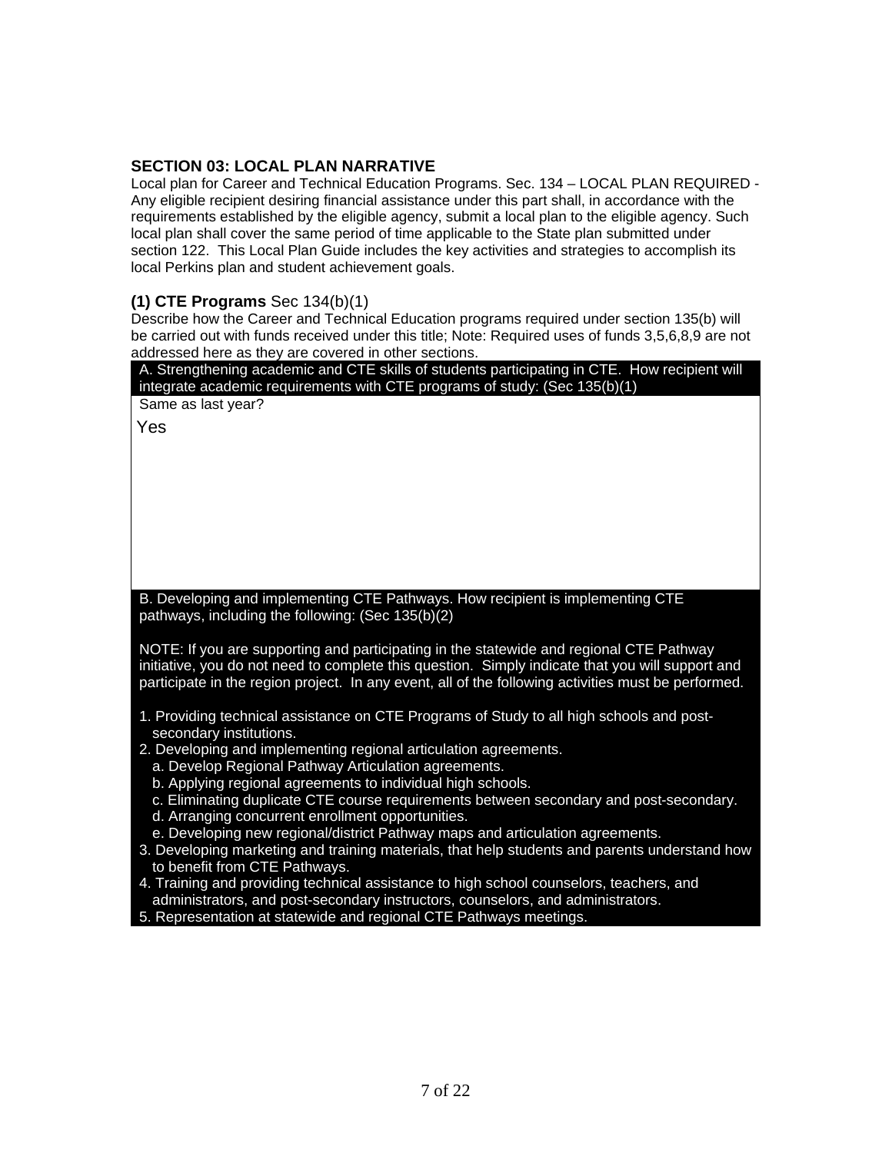#### **SECTION 03: LOCAL PLAN NARRATIVE**

Local plan for Career and Technical Education Programs. Sec. 134 – LOCAL PLAN REQUIRED - Any eligible recipient desiring financial assistance under this part shall, in accordance with the requirements established by the eligible agency, submit a local plan to the eligible agency. Such local plan shall cover the same period of time applicable to the State plan submitted under section 122. This Local Plan Guide includes the key activities and strategies to accomplish its local Perkins plan and student achievement goals.

#### **(1) CTE Programs** Sec 134(b)(1)

Describe how the Career and Technical Education programs required under section 135(b) will be carried out with funds received under this title; Note: Required uses of funds 3,5,6,8,9 are not addressed here as they are covered in other sections.

| A. Strengthening academic and CTE skills of students participating in CTE. How recipient will<br>integrate academic requirements with CTE programs of study: (Sec 135(b)(1)                                                                                                                        |
|----------------------------------------------------------------------------------------------------------------------------------------------------------------------------------------------------------------------------------------------------------------------------------------------------|
| Same as last year?                                                                                                                                                                                                                                                                                 |
| Yes                                                                                                                                                                                                                                                                                                |
|                                                                                                                                                                                                                                                                                                    |
|                                                                                                                                                                                                                                                                                                    |
|                                                                                                                                                                                                                                                                                                    |
|                                                                                                                                                                                                                                                                                                    |
|                                                                                                                                                                                                                                                                                                    |
|                                                                                                                                                                                                                                                                                                    |
|                                                                                                                                                                                                                                                                                                    |
| B. Developing and implementing CTE Pathways. How recipient is implementing CTE<br>pathways, including the following: (Sec 135(b)(2)                                                                                                                                                                |
| NOTE: If you are supporting and participating in the statewide and regional CTE Pathway<br>initiative, you do not need to complete this question. Simply indicate that you will support and<br>participate in the region project. In any event, all of the following activities must be performed. |
| 1. Providing technical assistance on CTE Programs of Study to all high schools and post-<br>secondary institutions.                                                                                                                                                                                |
| 2. Developing and implementing regional articulation agreements.                                                                                                                                                                                                                                   |
| a. Develop Regional Pathway Articulation agreements.                                                                                                                                                                                                                                               |
| b. Applying regional agreements to individual high schools.<br>c. Eliminating duplicate CTE course requirements between secondary and post-secondary.                                                                                                                                              |
| d. Arranging concurrent enrollment opportunities.                                                                                                                                                                                                                                                  |
| e. Developing new regional/district Pathway maps and articulation agreements.                                                                                                                                                                                                                      |
| 3. Developing marketing and training materials, that help students and parents understand how                                                                                                                                                                                                      |
| to benefit from CTE Pathways.                                                                                                                                                                                                                                                                      |
| 4. Training and providing technical assistance to high school counselors, teachers, and<br>administrators, and post-secondary instructors, counselors, and administrators.                                                                                                                         |
|                                                                                                                                                                                                                                                                                                    |

5. Representation at statewide and regional CTE Pathways meetings.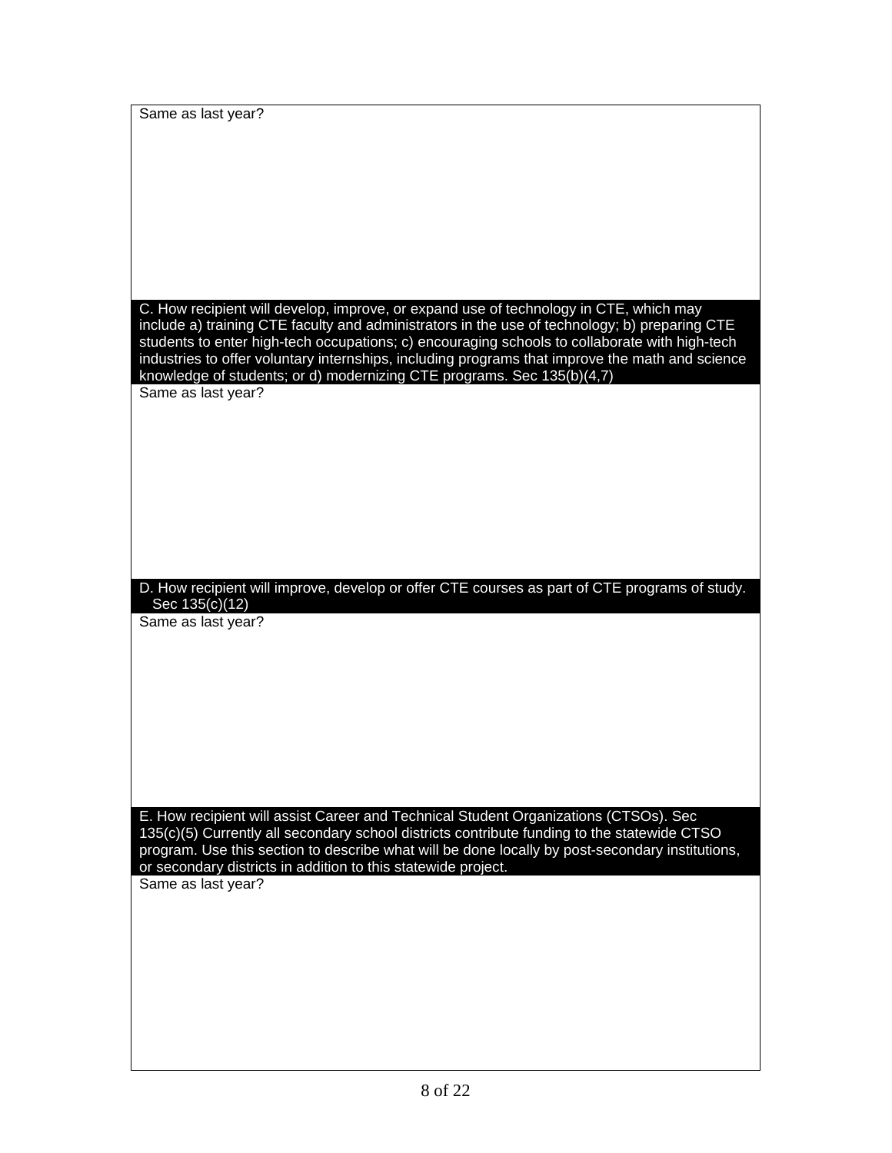Same as last year? C. How recipient will develop, improve, or expand use of technology in CTE, which may include a) training CTE faculty and administrators in the use of technology; b) preparing CTE students to enter high-tech occupations; c) encouraging schools to collaborate with high-tech industries to offer voluntary internships, including programs that improve the math and science knowledge of students; or d) modernizing CTE programs. Sec 135(b)(4,7) Same as last year? D. How recipient will improve, develop or offer CTE courses as part of CTE programs of study. Sec 135(c)(12) Same as last year? E. How recipient will assist Career and Technical Student Organizations (CTSOs). Sec 135(c)(5) Currently all secondary school districts contribute funding to the statewide CTSO program. Use this section to describe what will be done locally by post-secondary institutions, or secondary districts in addition to this statewide project. Same as last year?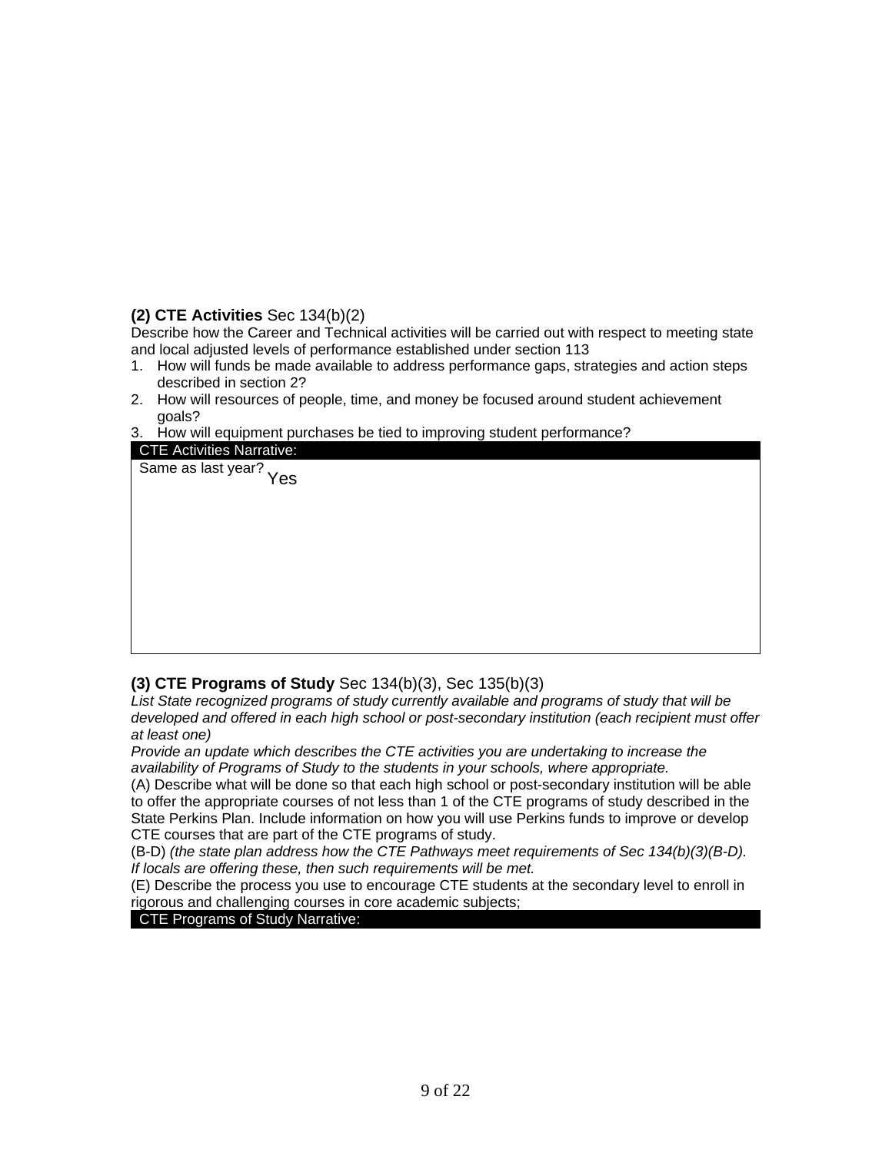#### **(2) CTE Activities** Sec 134(b)(2)

Describe how the Career and Technical activities will be carried out with respect to meeting state and local adjusted levels of performance established under section 113

- 1. How will funds be made available to address performance gaps, strategies and action steps described in section 2?
- 2. How will resources of people, time, and money be focused around student achievement goals?
- 3. How will equipment purchases be tied to improving student performance?

| -- ----- ----- --q----------- p  | ີວ<br>. |  |
|----------------------------------|---------|--|
| <b>CTE Activities Narrative:</b> |         |  |
| Same as last year? Yes           |         |  |
|                                  |         |  |
|                                  |         |  |
|                                  |         |  |
|                                  |         |  |
|                                  |         |  |
|                                  |         |  |
|                                  |         |  |
|                                  |         |  |
|                                  |         |  |
|                                  |         |  |
|                                  |         |  |
|                                  |         |  |
|                                  |         |  |

#### **(3) CTE Programs of Study** Sec 134(b)(3), Sec 135(b)(3)

*List State recognized programs of study currently available and programs of study that will be developed and offered in each high school or post-secondary institution (each recipient must offer at least one)*

*Provide an update which describes the CTE activities you are undertaking to increase the availability of Programs of Study to the students in your schools, where appropriate.*

(A) Describe what will be done so that each high school or post-secondary institution will be able to offer the appropriate courses of not less than 1 of the CTE programs of study described in the State Perkins Plan. Include information on how you will use Perkins funds to improve or develop CTE courses that are part of the CTE programs of study.

(B-D) *(the state plan address how the CTE Pathways meet requirements of Sec 134(b)(3)(B-D). If locals are offering these, then such requirements will be met.*

(E) Describe the process you use to encourage CTE students at the secondary level to enroll in rigorous and challenging courses in core academic subjects;

#### CTE Programs of Study Narrative: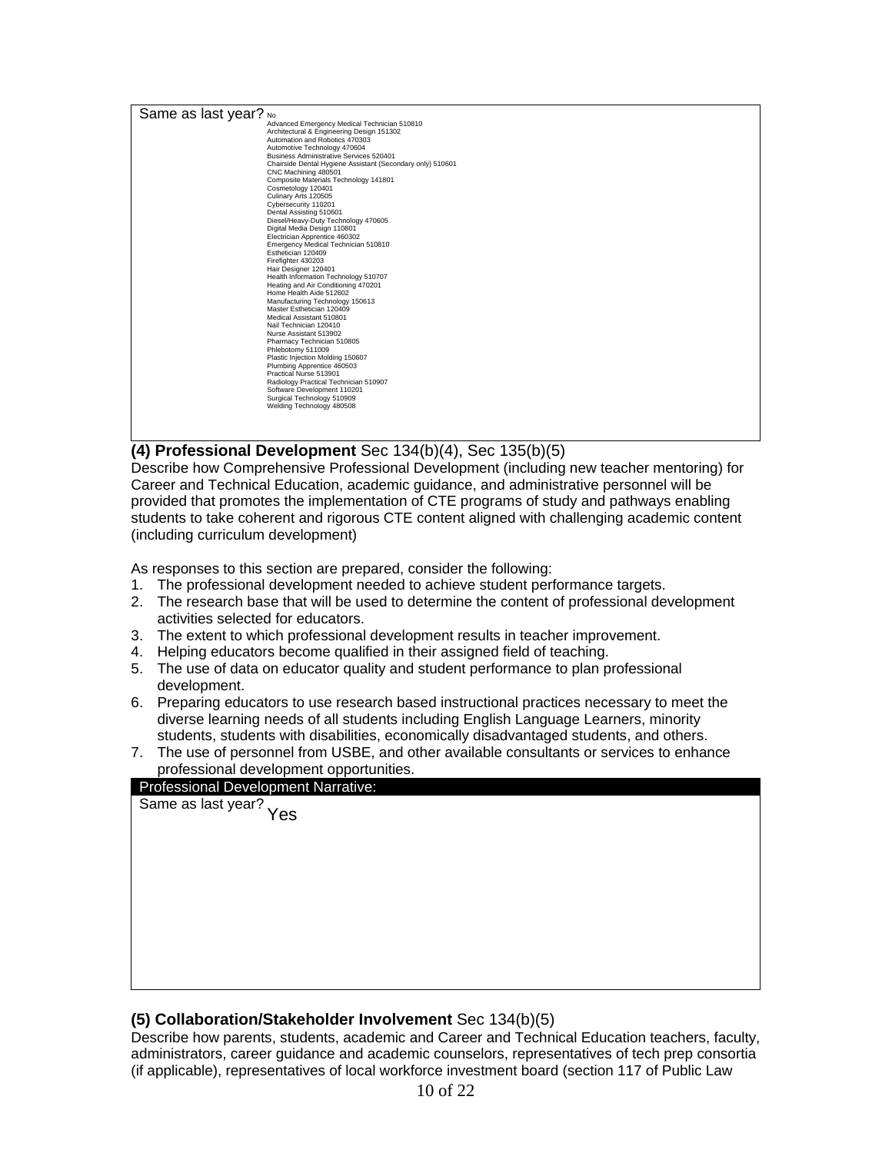

#### **(4) Professional Development** Sec 134(b)(4), Sec 135(b)(5)

Describe how Comprehensive Professional Development (including new teacher mentoring) for Career and Technical Education, academic guidance, and administrative personnel will be provided that promotes the implementation of CTE programs of study and pathways enabling students to take coherent and rigorous CTE content aligned with challenging academic content (including curriculum development)

As responses to this section are prepared, consider the following:

- 1. The professional development needed to achieve student performance targets.
- 2. The research base that will be used to determine the content of professional development activities selected for educators.
- 3. The extent to which professional development results in teacher improvement.
- 4. Helping educators become qualified in their assigned field of teaching.
- 5. The use of data on educator quality and student performance to plan professional development.
- 6. Preparing educators to use research based instructional practices necessary to meet the diverse learning needs of all students including English Language Learners, minority students, students with disabilities, economically disadvantaged students, and others.
- 7. The use of personnel from USBE, and other available consultants or services to enhance professional development opportunities.



#### **(5) Collaboration/Stakeholder Involvement** Sec 134(b)(5)

Describe how parents, students, academic and Career and Technical Education teachers, faculty, administrators, career guidance and academic counselors, representatives of tech prep consortia (if applicable), representatives of local workforce investment board (section 117 of Public Law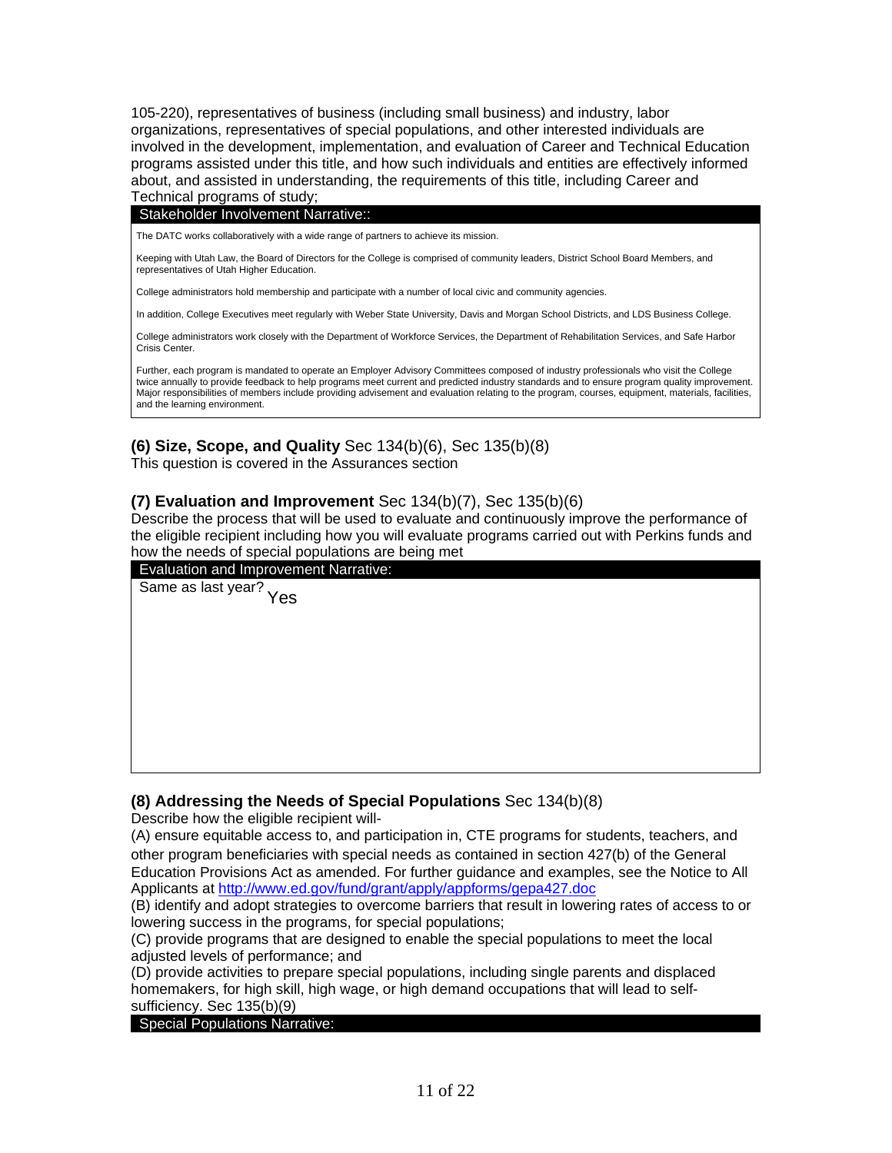105-220), representatives of business (including small business) and industry, labor organizations, representatives of special populations, and other interested individuals are involved in the development, implementation, and evaluation of Career and Technical Education programs assisted under this title, and how such individuals and entities are effectively informed about, and assisted in understanding, the requirements of this title, including Career and Technical programs of study;

#### Stakeholder Involvement Narrative::

The DATC works collaboratively with a wide range of partners to achieve its mission.

Keeping with Utah Law, the Board of Directors for the College is comprised of community leaders, District School Board Members, and representatives of Utah Higher Education.

College administrators hold membership and participate with a number of local civic and community agencies.

In addition, College Executives meet regularly with Weber State University, Davis and Morgan School Districts, and LDS Business College.

College administrators work closely with the Department of Workforce Services, the Department of Rehabilitation Services, and Safe Harbor Crisis Center.

Further, each program is mandated to operate an Employer Advisory Committees composed of industry professionals who visit the College twice annually to provide feedback to help programs meet current and predicted industry standards and to ensure program quality improvement. Major responsibilities of members include providing advisement and evaluation relating to the program, courses, equipment, materials, facilities, and the learning environment.

#### **(6) Size, Scope, and Quality** Sec 134(b)(6), Sec 135(b)(8)

This question is covered in the Assurances section

#### **(7) Evaluation and Improvement** Sec 134(b)(7), Sec 135(b)(6)

Describe the process that will be used to evaluate and continuously improve the performance of the eligible recipient including how you will evaluate programs carried out with Perkins funds and how the needs of special populations are being met



#### **(8) Addressing the Needs of Special Populations** Sec 134(b)(8)

Describe how the eligible recipient will-

(A) ensure equitable access to, and participation in, CTE programs for students, teachers, and other program beneficiaries with special needs as contained in section 427(b) of the General Education Provisions Act as amended. For further guidance and examples, see the Notice to All Applicants at<http://www.ed.gov/fund/grant/apply/appforms/gepa427.doc>

(B) identify and adopt strategies to overcome barriers that result in lowering rates of access to or lowering success in the programs, for special populations;

(C) provide programs that are designed to enable the special populations to meet the local adjusted levels of performance; and

(D) provide activities to prepare special populations, including single parents and displaced homemakers, for high skill, high wage, or high demand occupations that will lead to selfsufficiency. Sec 135(b)(9)

#### Special Populations Narrative: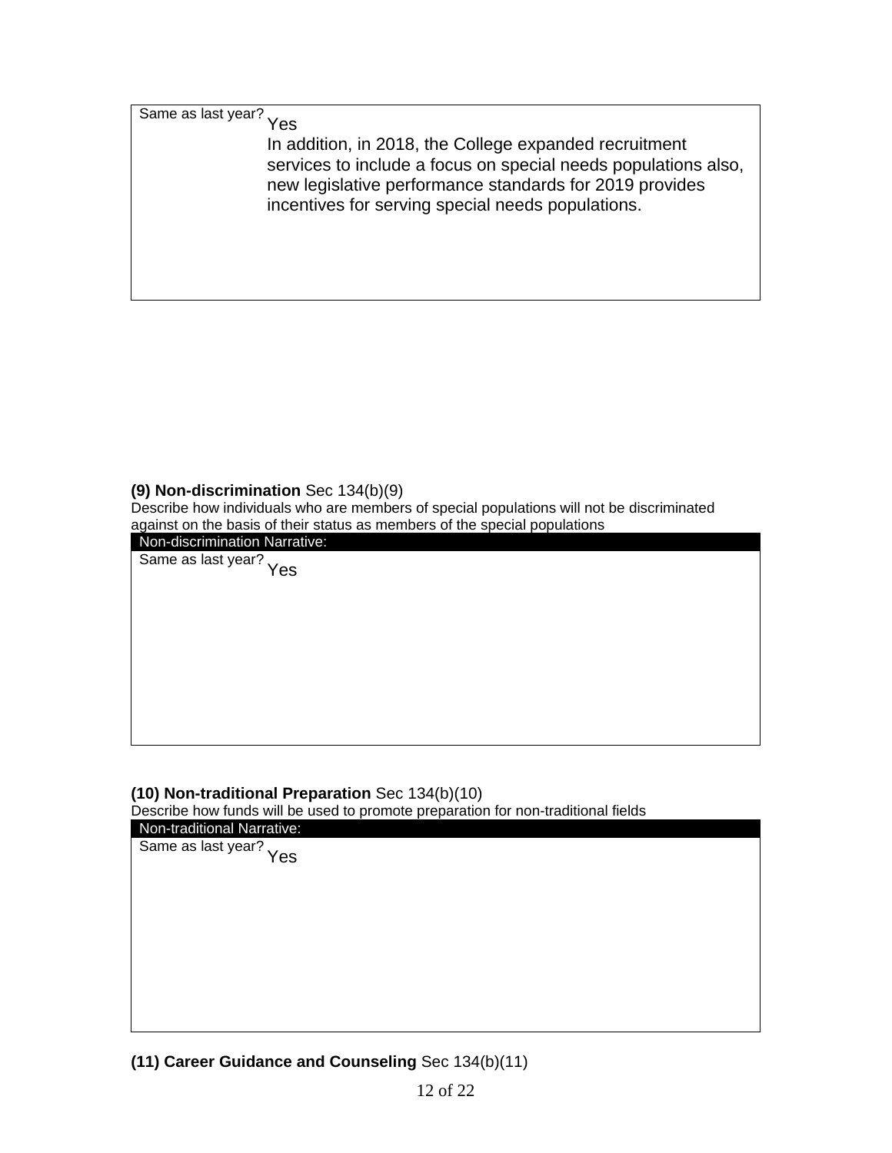Same as last year? Yes

In addition, in 2018, the College expanded recruitment services to include a focus on special needs populations also, new legislative performance standards for 2019 provides incentives for serving special needs populations.

#### **(9) Non-discrimination** Sec 134(b)(9)

Describe how individuals who are members of special populations will not be discriminated against on the basis of their status as members of the special populations

Non-discrimination Narrative:

Same as last year? Yes

#### **(10) Non-traditional Preparation** Sec 134(b)(10)

Describe how funds will be used to promote preparation for non-traditional fields

| Non-traditional Narrative: |
|----------------------------|
| Same as last year?<br>Yes  |
|                            |
|                            |
|                            |
|                            |
|                            |
|                            |
|                            |
|                            |
|                            |
|                            |
|                            |

**(11) Career Guidance and Counseling** Sec 134(b)(11)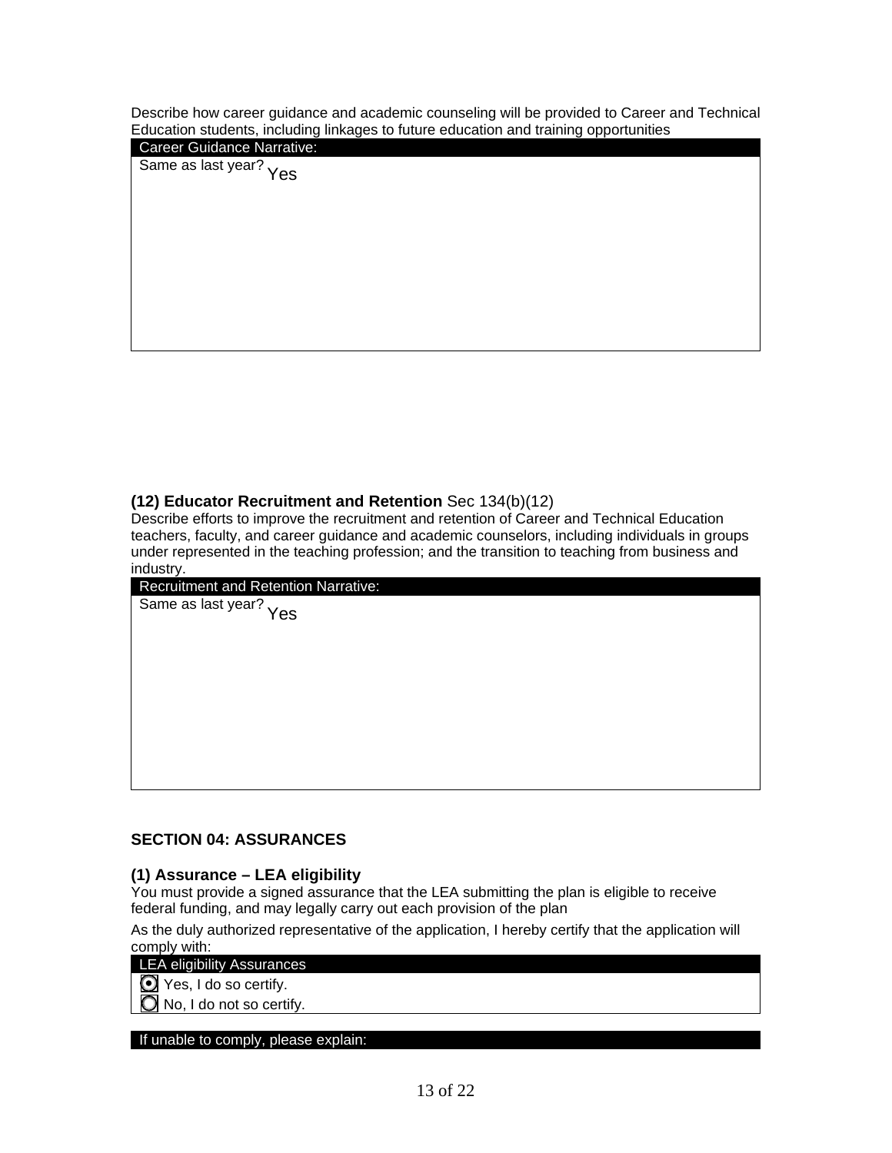Describe how career guidance and academic counseling will be provided to Career and Technical Education students, including linkages to future education and training opportunities

Career Guidance Narrative:

Same as last year? <sub>Yes</sub>

#### **(12) Educator Recruitment and Retention** Sec 134(b)(12)

Describe efforts to improve the recruitment and retention of Career and Technical Education teachers, faculty, and career guidance and academic counselors, including individuals in groups under represented in the teaching profession; and the transition to teaching from business and industry.

| <b>Recruitment and Retention Narrative:</b> |
|---------------------------------------------|
| Same as last year?<br>Yes                   |
|                                             |
|                                             |
|                                             |
|                                             |
|                                             |
|                                             |
|                                             |
|                                             |

#### **SECTION 04: ASSURANCES**

#### **(1) Assurance – LEA eligibility**

You must provide a signed assurance that the LEA submitting the plan is eligible to receive federal funding, and may legally carry out each provision of the plan

As the duly authorized representative of the application, I hereby certify that the application will comply with:

LEA eligibility Assurances

 $\bigcirc$  Yes, I do so certify.

No, I do not so certify.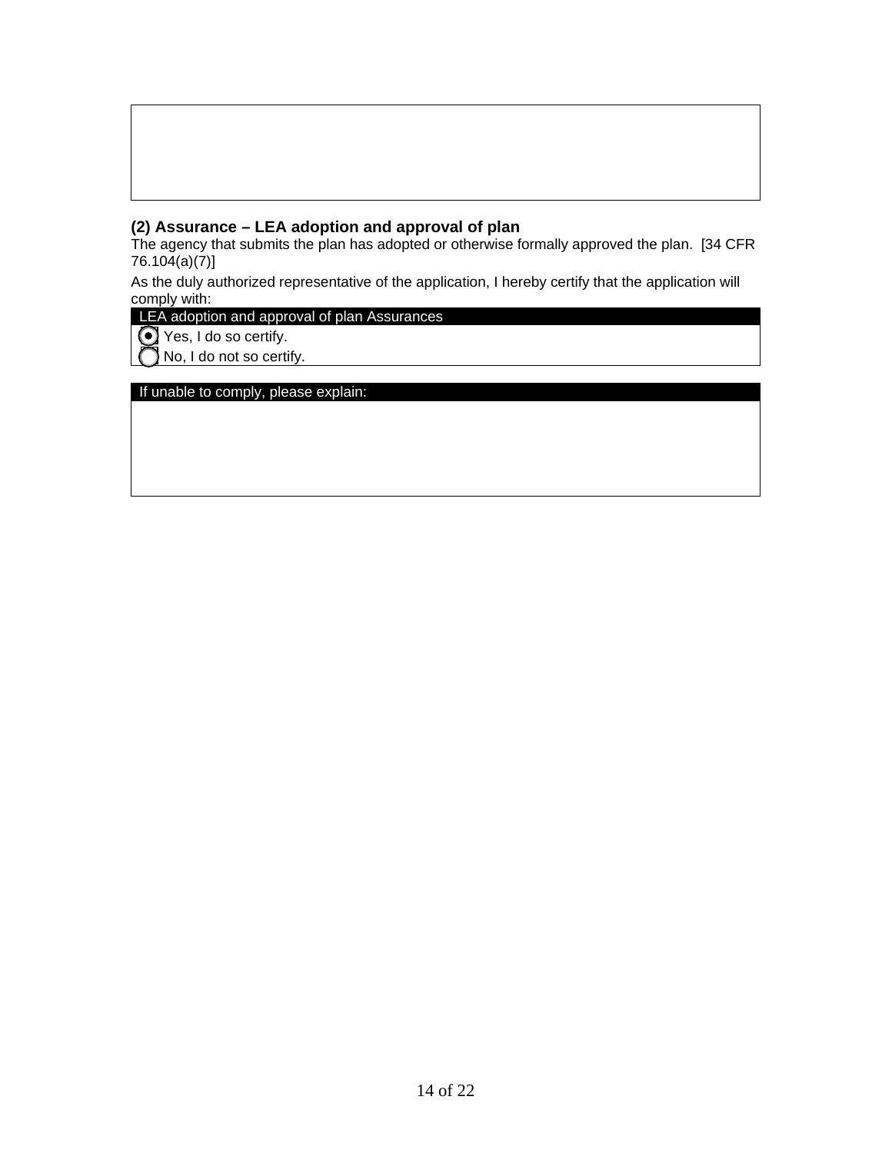#### **(2) Assurance – LEA adoption and approval of plan**

The agency that submits the plan has adopted or otherwise formally approved the plan. [34 CFR 76.104(a)(7)]

As the duly authorized representative of the application, I hereby certify that the application will comply with:

### LEA adoption and approval of plan Assurances

Yes, I do so certify.

No, I do not so certify.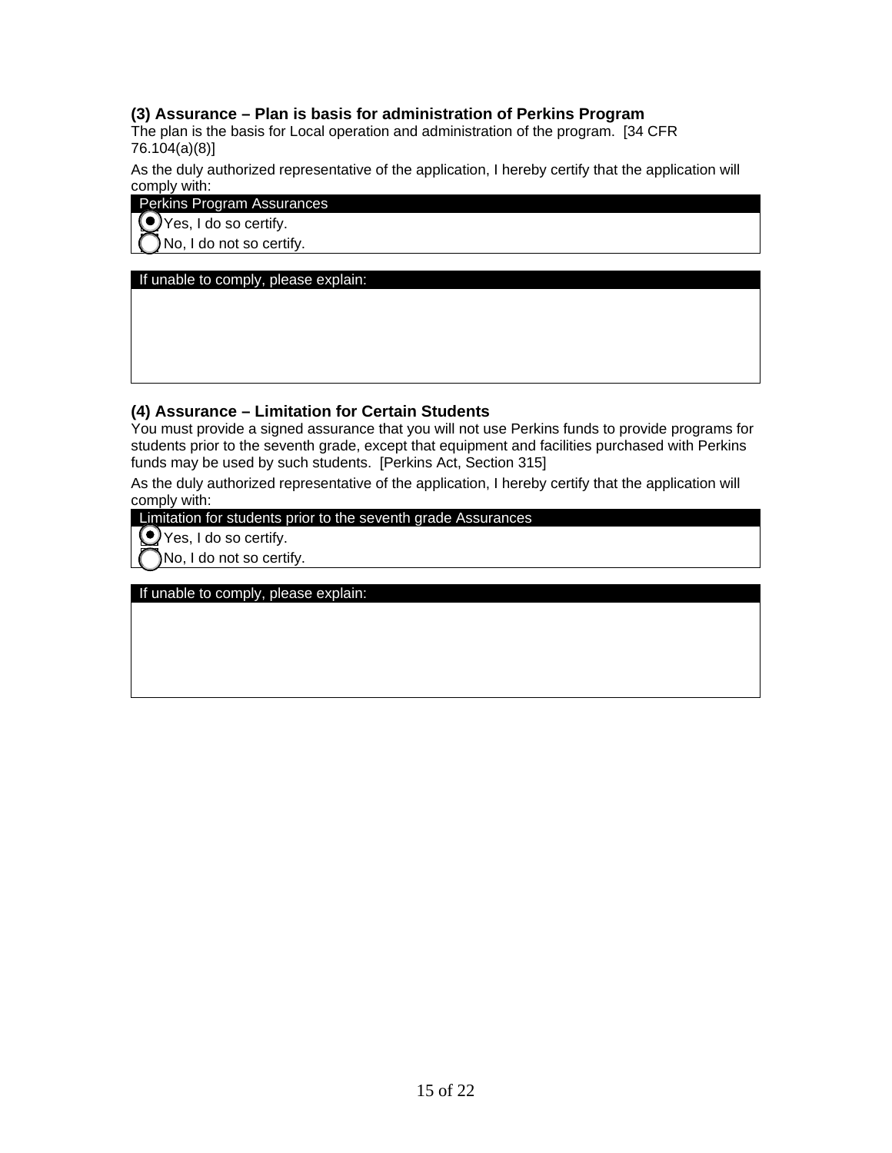#### **(3) Assurance – Plan is basis for administration of Perkins Program**

The plan is the basis for Local operation and administration of the program. [34 CFR 76.104(a)(8)]

As the duly authorized representative of the application, I hereby certify that the application will comply with:

#### Perkins Program Assurances

Yes, I do so certify.

No, I do not so certify.

#### If unable to comply, please explain:

#### **(4) Assurance – Limitation for Certain Students**

You must provide a signed assurance that you will not use Perkins funds to provide programs for students prior to the seventh grade, except that equipment and facilities purchased with Perkins funds may be used by such students. [Perkins Act, Section 315]

As the duly authorized representative of the application, I hereby certify that the application will comply with:

Limitation for students prior to the seventh grade Assurances

**O** Yes, I do so certify.

No, I do not so certify.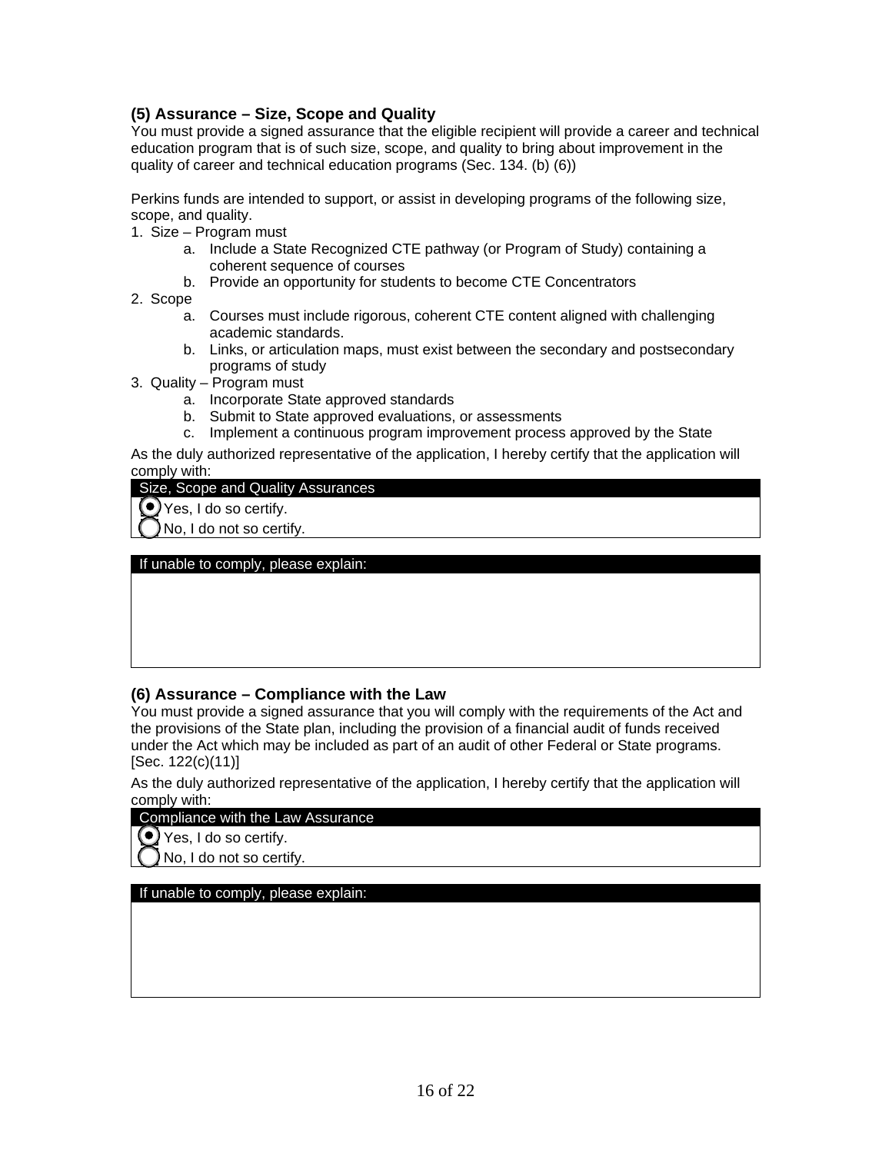#### **(5) Assurance – Size, Scope and Quality**

You must provide a signed assurance that the eligible recipient will provide a career and technical education program that is of such size, scope, and quality to bring about improvement in the quality of career and technical education programs (Sec. 134. (b) (6))

Perkins funds are intended to support, or assist in developing programs of the following size, scope, and quality.

- 1. Size Program must
	- a. Include a State Recognized CTE pathway (or Program of Study) containing a coherent sequence of courses
	- b. Provide an opportunity for students to become CTE Concentrators
- 2. Scope
	- a. Courses must include rigorous, coherent CTE content aligned with challenging academic standards.
	- b. Links, or articulation maps, must exist between the secondary and postsecondary programs of study
- 3. Quality Program must
	- a. Incorporate State approved standards
	- b. Submit to State approved evaluations, or assessments
	- c. Implement a continuous program improvement process approved by the State

As the duly authorized representative of the application, I hereby certify that the application will comply with:

#### Size, Scope and Quality Assurances

Yes, I do so certify.

No, I do not so certify.

If unable to comply, please explain:

#### **(6) Assurance – Compliance with the Law**

You must provide a signed assurance that you will comply with the requirements of the Act and the provisions of the State plan, including the provision of a financial audit of funds received under the Act which may be included as part of an audit of other Federal or State programs. [Sec. 122(c)(11)]

As the duly authorized representative of the application, I hereby certify that the application will comply with:

#### Compliance with the Law Assurance

◯ Yes, I do so certify.

No, I do not so certify.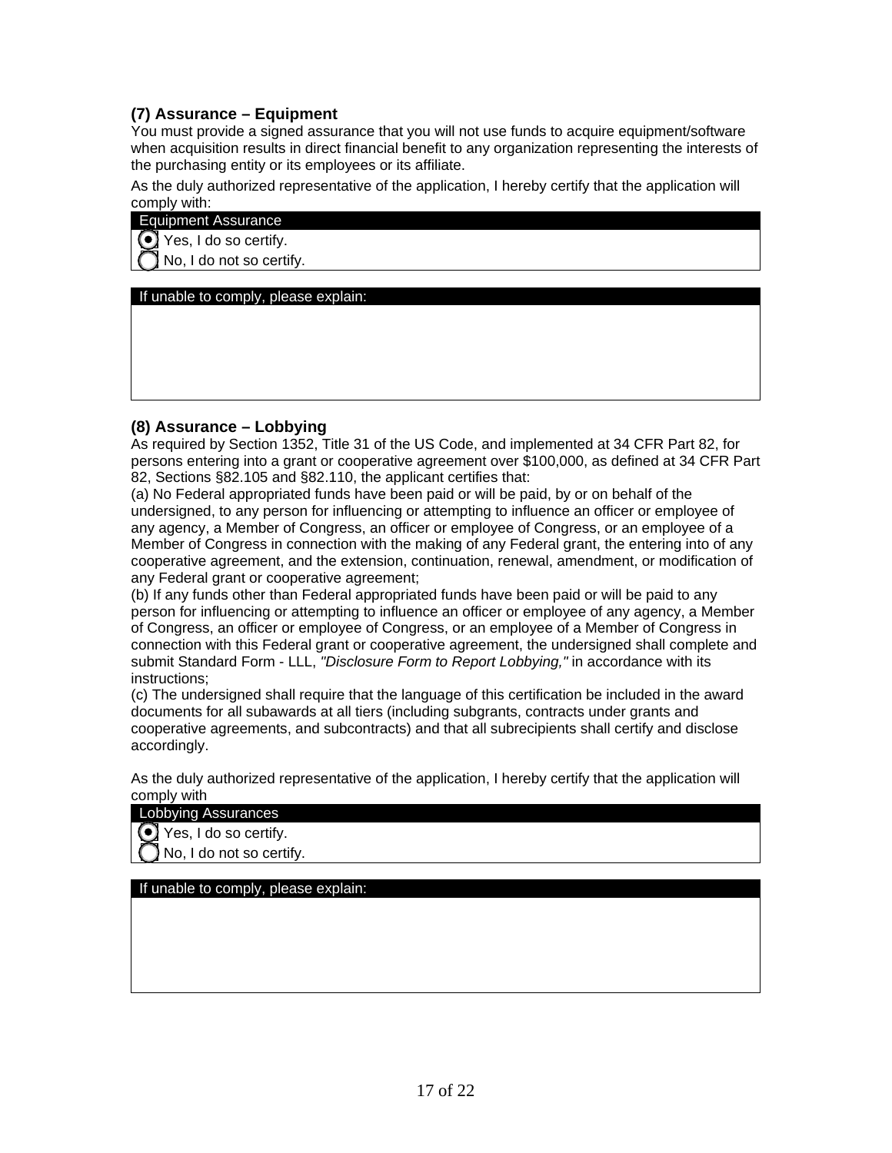#### **(7) Assurance – Equipment**

You must provide a signed assurance that you will not use funds to acquire equipment/software when acquisition results in direct financial benefit to any organization representing the interests of the purchasing entity or its employees or its affiliate.

As the duly authorized representative of the application, I hereby certify that the application will comply with:

#### Equipment Assurance

 $\odot$  Yes, I do so certify.

No, I do not so certify.

If unable to comply, please explain:

#### **(8) Assurance – Lobbying**

As required by Section 1352, Title 31 of the US Code, and implemented at 34 CFR Part 82, for persons entering into a grant or cooperative agreement over \$100,000, as defined at 34 CFR Part 82, Sections §82.105 and §82.110, the applicant certifies that:

(a) No Federal appropriated funds have been paid or will be paid, by or on behalf of the undersigned, to any person for influencing or attempting to influence an officer or employee of any agency, a Member of Congress, an officer or employee of Congress, or an employee of a Member of Congress in connection with the making of any Federal grant, the entering into of any cooperative agreement, and the extension, continuation, renewal, amendment, or modification of any Federal grant or cooperative agreement;

(b) If any funds other than Federal appropriated funds have been paid or will be paid to any person for influencing or attempting to influence an officer or employee of any agency, a Member of Congress, an officer or employee of Congress, or an employee of a Member of Congress in connection with this Federal grant or cooperative agreement, the undersigned shall complete and submit Standard Form - LLL, *"Disclosure Form to Report Lobbying,"* in accordance with its instructions;

(c) The undersigned shall require that the language of this certification be included in the award documents for all subawards at all tiers (including subgrants, contracts under grants and cooperative agreements, and subcontracts) and that all subrecipients shall certify and disclose accordingly.

As the duly authorized representative of the application, I hereby certify that the application will comply with

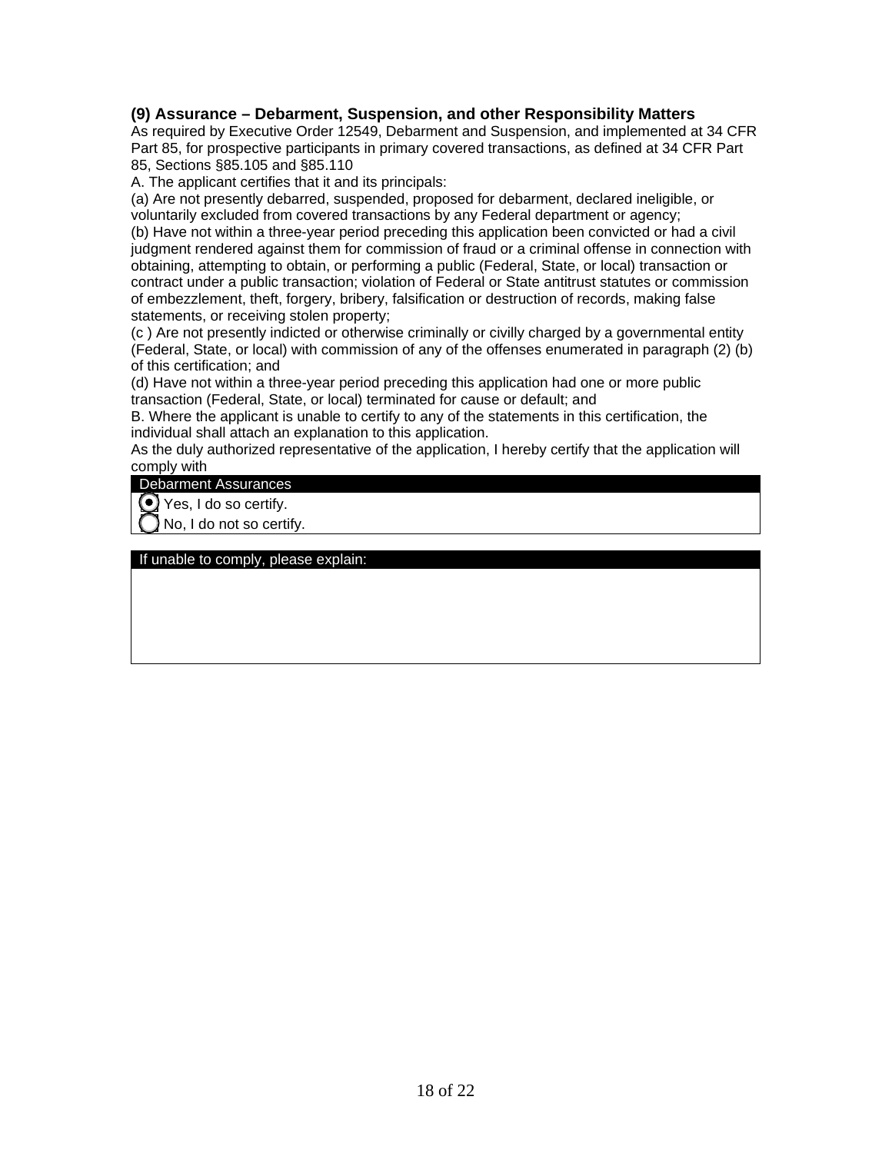#### **(9) Assurance – Debarment, Suspension, and other Responsibility Matters**

As required by Executive Order 12549, Debarment and Suspension, and implemented at 34 CFR Part 85, for prospective participants in primary covered transactions, as defined at 34 CFR Part 85, Sections §85.105 and §85.110

A. The applicant certifies that it and its principals:

(a) Are not presently debarred, suspended, proposed for debarment, declared ineligible, or voluntarily excluded from covered transactions by any Federal department or agency;

(b) Have not within a three-year period preceding this application been convicted or had a civil judgment rendered against them for commission of fraud or a criminal offense in connection with obtaining, attempting to obtain, or performing a public (Federal, State, or local) transaction or contract under a public transaction; violation of Federal or State antitrust statutes or commission of embezzlement, theft, forgery, bribery, falsification or destruction of records, making false statements, or receiving stolen property;

(c ) Are not presently indicted or otherwise criminally or civilly charged by a governmental entity (Federal, State, or local) with commission of any of the offenses enumerated in paragraph (2) (b) of this certification; and

(d) Have not within a three-year period preceding this application had one or more public transaction (Federal, State, or local) terminated for cause or default; and

B. Where the applicant is unable to certify to any of the statements in this certification, the individual shall attach an explanation to this application.

As the duly authorized representative of the application, I hereby certify that the application will comply with

#### Debarment Assurances

 $\bigcirc$  Yes, I do so certify.

No, I do not so certify.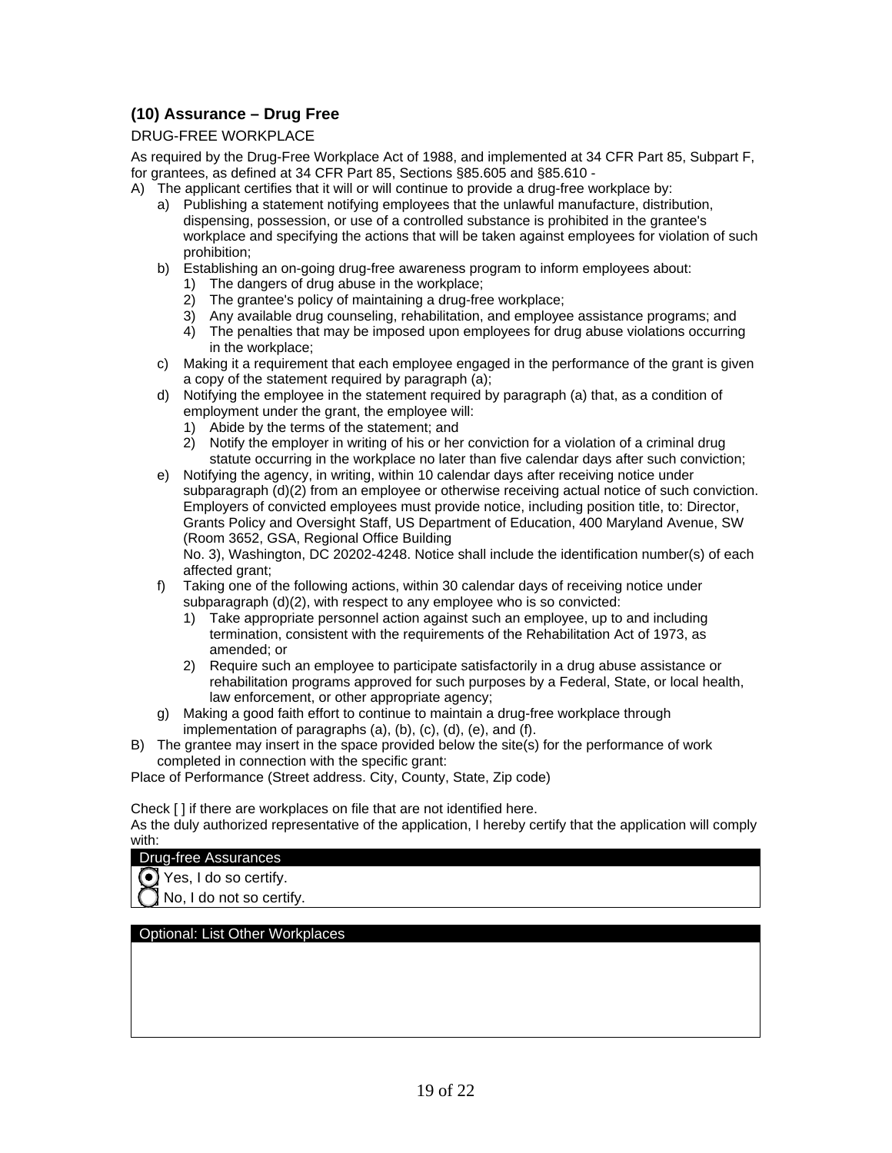#### **(10) Assurance – Drug Free**

#### DRUG-FREE WORKPLACE

As required by the Drug-Free Workplace Act of 1988, and implemented at 34 CFR Part 85, Subpart F, for grantees, as defined at 34 CFR Part 85, Sections §85.605 and §85.610 -

A) The applicant certifies that it will or will continue to provide a drug-free workplace by:

- a) Publishing a statement notifying employees that the unlawful manufacture, distribution, dispensing, possession, or use of a controlled substance is prohibited in the grantee's workplace and specifying the actions that will be taken against employees for violation of such prohibition;
- b) Establishing an on-going drug-free awareness program to inform employees about:
	- 1) The dangers of drug abuse in the workplace;
	- 2) The grantee's policy of maintaining a drug-free workplace;
	- 3) Any available drug counseling, rehabilitation, and employee assistance programs; and
	- 4) The penalties that may be imposed upon employees for drug abuse violations occurring in the workplace;
- c) Making it a requirement that each employee engaged in the performance of the grant is given a copy of the statement required by paragraph (a);
- d) Notifying the employee in the statement required by paragraph (a) that, as a condition of employment under the grant, the employee will:
	- 1) Abide by the terms of the statement; and
	- 2) Notify the employer in writing of his or her conviction for a violation of a criminal drug statute occurring in the workplace no later than five calendar days after such conviction;
- e) Notifying the agency, in writing, within 10 calendar days after receiving notice under subparagraph (d)(2) from an employee or otherwise receiving actual notice of such conviction. Employers of convicted employees must provide notice, including position title, to: Director, Grants Policy and Oversight Staff, US Department of Education, 400 Maryland Avenue, SW (Room 3652, GSA, Regional Office Building

No. 3), Washington, DC 20202-4248. Notice shall include the identification number(s) of each affected grant;

- f) Taking one of the following actions, within 30 calendar days of receiving notice under subparagraph (d)(2), with respect to any employee who is so convicted:
	- 1) Take appropriate personnel action against such an employee, up to and including termination, consistent with the requirements of the Rehabilitation Act of 1973, as amended; or
	- 2) Require such an employee to participate satisfactorily in a drug abuse assistance or rehabilitation programs approved for such purposes by a Federal, State, or local health, law enforcement, or other appropriate agency;
- g) Making a good faith effort to continue to maintain a drug-free workplace through implementation of paragraphs (a), (b), (c), (d), (e), and (f).
- B) The grantee may insert in the space provided below the site(s) for the performance of work completed in connection with the specific grant:

Place of Performance (Street address. City, County, State, Zip code)

Check [ ] if there are workplaces on file that are not identified here.

As the duly authorized representative of the application, I hereby certify that the application will comply with:



No, I do not so certify.

Optional: List Other Workplaces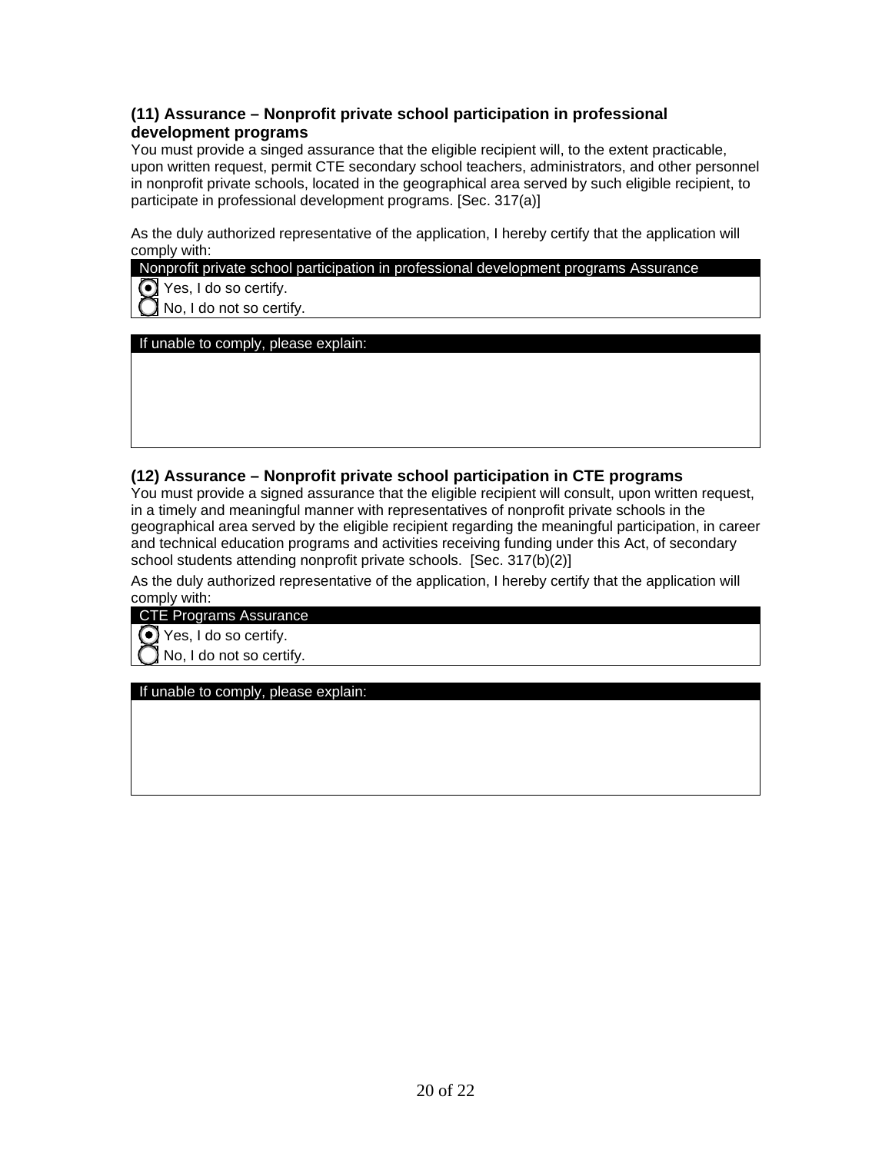#### **(11) Assurance – Nonprofit private school participation in professional development programs**

You must provide a singed assurance that the eligible recipient will, to the extent practicable, upon written request, permit CTE secondary school teachers, administrators, and other personnel in nonprofit private schools, located in the geographical area served by such eligible recipient, to participate in professional development programs. [Sec. 317(a)]

As the duly authorized representative of the application, I hereby certify that the application will comply with:

Nonprofit private school participation in professional development programs Assurance

Yes, I do so certify.

No, I do not so certify.

If unable to comply, please explain:

#### **(12) Assurance – Nonprofit private school participation in CTE programs**

You must provide a signed assurance that the eligible recipient will consult, upon written request, in a timely and meaningful manner with representatives of nonprofit private schools in the geographical area served by the eligible recipient regarding the meaningful participation, in career and technical education programs and activities receiving funding under this Act, of secondary school students attending nonprofit private schools. [Sec. 317(b)(2)]

As the duly authorized representative of the application, I hereby certify that the application will comply with:

CTE Programs Assurance

 $\bigodot$  Yes, I do so certify.

No, I do not so certify.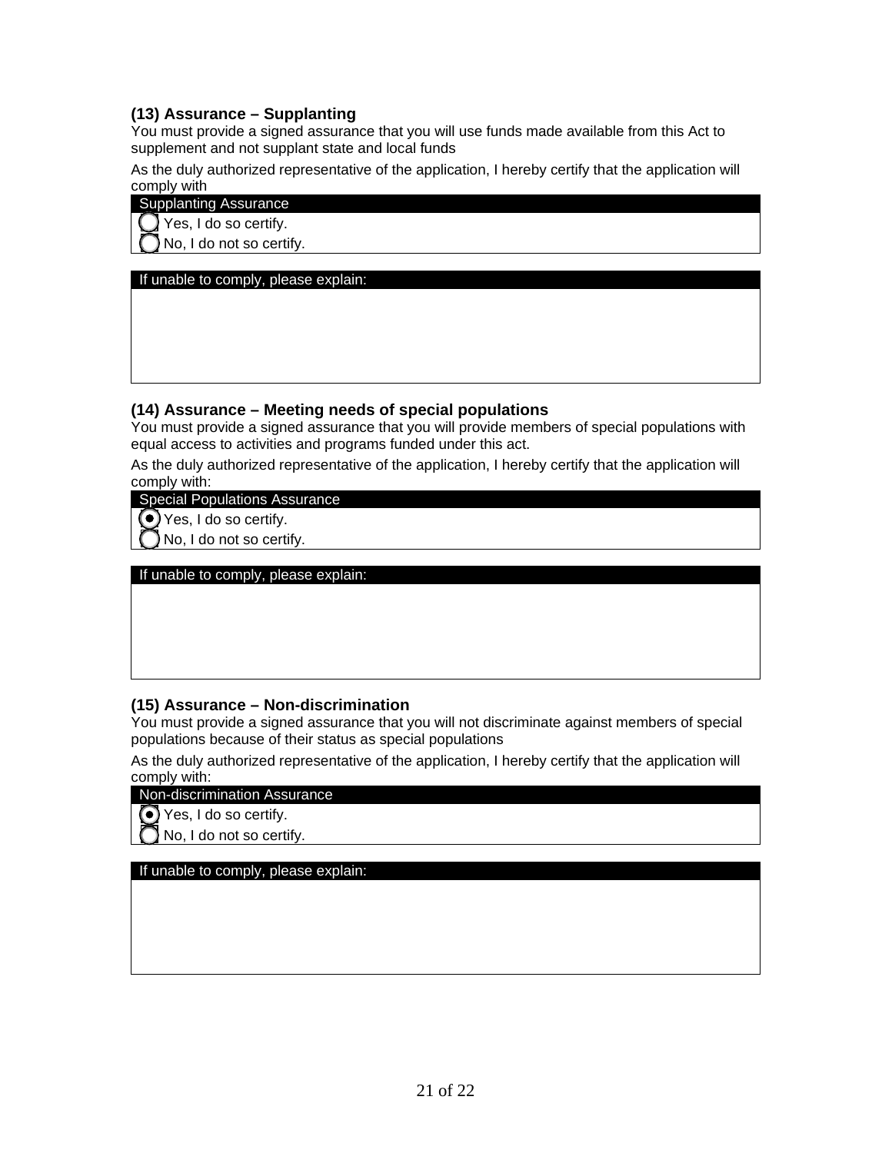#### **(13) Assurance – Supplanting**

You must provide a signed assurance that you will use funds made available from this Act to supplement and not supplant state and local funds

As the duly authorized representative of the application, I hereby certify that the application will comply with

Supplanting Assurance

Yes, I do so certify.

No, I do not so certify.

If unable to comply, please explain:

#### **(14) Assurance – Meeting needs of special populations**

You must provide a signed assurance that you will provide members of special populations with equal access to activities and programs funded under this act.

As the duly authorized representative of the application, I hereby certify that the application will comply with:

Special Populations Assurance

 $\odot$  Yes, I do so certify.

No, I do not so certify.

If unable to comply, please explain:

#### **(15) Assurance – Non-discrimination**

You must provide a signed assurance that you will not discriminate against members of special populations because of their status as special populations

As the duly authorized representative of the application, I hereby certify that the application will comply with:

#### Non-discrimination Assurance

 $\odot$  Yes, I do so certify.

 $\bigcap$  No, I do not so certify.